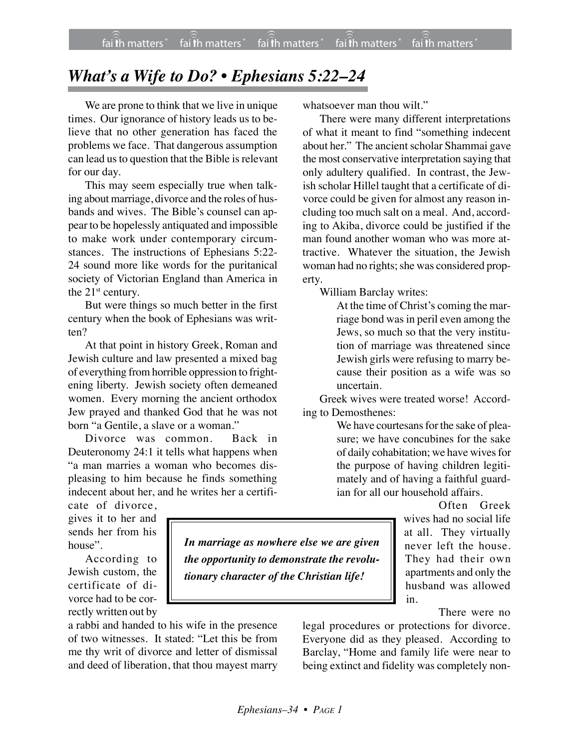## *What's a Wife to Do? • Ephesians 5:22–24*

We are prone to think that we live in unique times. Our ignorance of history leads us to believe that no other generation has faced the problems we face. That dangerous assumption can lead us to question that the Bible is relevant for our day.

This may seem especially true when talking about marriage, divorce and the roles of husbands and wives. The Bible's counsel can appear to be hopelessly antiquated and impossible to make work under contemporary circumstances. The instructions of Ephesians 5:22- 24 sound more like words for the puritanical society of Victorian England than America in the 21<sup>st</sup> century.

But were things so much better in the first century when the book of Ephesians was written?

At that point in history Greek, Roman and Jewish culture and law presented a mixed bag of everything from horrible oppression to frightening liberty. Jewish society often demeaned women. Every morning the ancient orthodox Jew prayed and thanked God that he was not born "a Gentile, a slave or a woman."

Divorce was common. Back in Deuteronomy 24:1 it tells what happens when "a man marries a woman who becomes displeasing to him because he finds something indecent about her, and he writes her a certifi-

cate of divorce, gives it to her and sends her from his house".

According to Jewish custom, the certificate of divorce had to be correctly written out by

a rabbi and handed to his wife in the presence of two witnesses. It stated: "Let this be from me thy writ of divorce and letter of dismissal and deed of liberation, that thou mayest marry whatsoever man thou wilt."

There were many different interpretations of what it meant to find "something indecent about her." The ancient scholar Shammai gave the most conservative interpretation saying that only adultery qualified. In contrast, the Jewish scholar Hillel taught that a certificate of divorce could be given for almost any reason including too much salt on a meal. And, according to Akiba, divorce could be justified if the man found another woman who was more attractive. Whatever the situation, the Jewish woman had no rights; she was considered property.

William Barclay writes:

At the time of Christ's coming the marriage bond was in peril even among the Jews, so much so that the very institution of marriage was threatened since Jewish girls were refusing to marry because their position as a wife was so uncertain.

Greek wives were treated worse! According to Demosthenes:

> We have courtesans for the sake of pleasure; we have concubines for the sake of daily cohabitation; we have wives for the purpose of having children legitimately and of having a faithful guardian for all our household affairs.

> > Often Greek wives had no social life at all. They virtually never left the house. They had their own apartments and only the husband was allowed in.

> > > There were no

legal procedures or protections for divorce. Everyone did as they pleased. According to Barclay, "Home and family life were near to being extinct and fidelity was completely non-

*In marriage as nowhere else we are given the opportunity to demonstrate the revolutionary character of the Christian life!*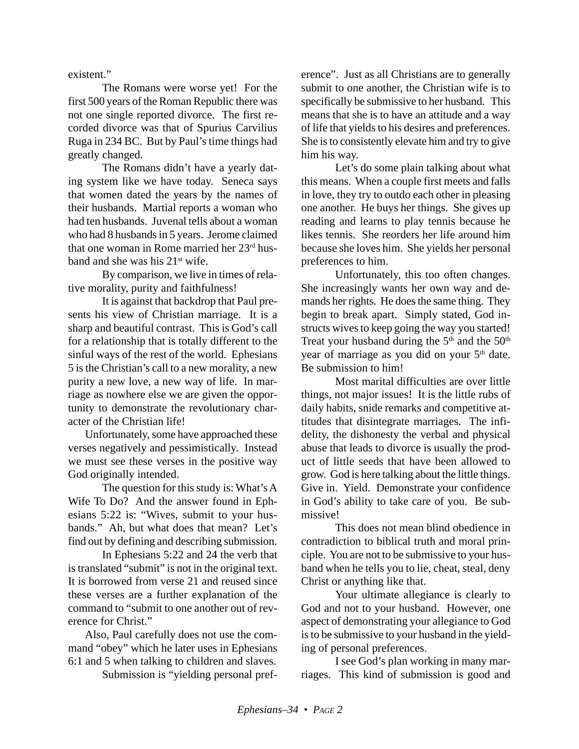existent."

The Romans were worse yet! For the first 500 years of the Roman Republic there was not one single reported divorce. The first recorded divorce was that of Spurius Carvilius Ruga in 234 BC. But by Paul's time things had greatly changed.

The Romans didn't have a yearly dating system like we have today. Seneca says that women dated the years by the names of their husbands. Martial reports a woman who had ten husbands. Juvenal tells about a woman who had 8 husbands in 5 years. Jerome claimed that one woman in Rome married her 23<sup>rd</sup> husband and she was his 21<sup>st</sup> wife.

By comparison, we live in times of relative morality, purity and faithfulness!

It is against that backdrop that Paul presents his view of Christian marriage. It is a sharp and beautiful contrast. This is God's call for a relationship that is totally different to the sinful ways of the rest of the world. Ephesians 5 is the Christian's call to a new morality, a new purity a new love, a new way of life. In marriage as nowhere else we are given the opportunity to demonstrate the revolutionary character of the Christian life!

Unfortunately, some have approached these verses negatively and pessimistically. Instead we must see these verses in the positive way God originally intended.

The question for this study is: What's A Wife To Do? And the answer found in Ephesians 5:22 is: "Wives, submit to your husbands." Ah, but what does that mean? Let's find out by defining and describing submission.

In Ephesians 5:22 and 24 the verb that is translated "submit" is not in the original text. It is borrowed from verse 21 and reused since these verses are a further explanation of the command to "submit to one another out of reverence for Christ."

Also, Paul carefully does not use the command "obey" which he later uses in Ephesians 6:1 and 5 when talking to children and slaves.

Submission is "yielding personal pref-

erence". Just as all Christians are to generally submit to one another, the Christian wife is to specifically be submissive to her husband. This means that she is to have an attitude and a way of life that yields to his desires and preferences. She is to consistently elevate him and try to give him his way.

Let's do some plain talking about what this means. When a couple first meets and falls in love, they try to outdo each other in pleasing one another. He buys her things. She gives up reading and learns to play tennis because he likes tennis. She reorders her life around him because she loves him. She yields her personal preferences to him.

Unfortunately, this too often changes. She increasingly wants her own way and demands her rights. He does the same thing. They begin to break apart. Simply stated, God instructs wives to keep going the way you started! Treat your husband during the  $5<sup>th</sup>$  and the  $50<sup>th</sup>$ year of marriage as you did on your  $5<sup>th</sup>$  date. Be submission to him!

Most marital difficulties are over little things, not major issues! It is the little rubs of daily habits, snide remarks and competitive attitudes that disintegrate marriages. The infidelity, the dishonesty the verbal and physical abuse that leads to divorce is usually the product of little seeds that have been allowed to grow. God is here talking about the little things. Give in. Yield. Demonstrate your confidence in God's ability to take care of you. Be submissive!

This does not mean blind obedience in contradiction to biblical truth and moral principle. You are not to be submissive to your husband when he tells you to lie, cheat, steal, deny Christ or anything like that.

Your ultimate allegiance is clearly to God and not to your husband. However, one aspect of demonstrating your allegiance to God is to be submissive to your husband in the yielding of personal preferences.

I see God's plan working in many marriages. This kind of submission is good and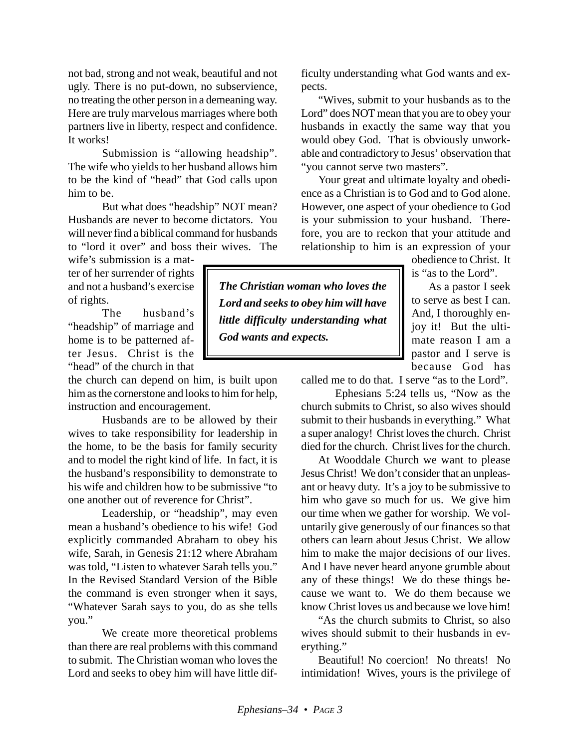not bad, strong and not weak, beautiful and not ugly. There is no put-down, no subservience, no treating the other person in a demeaning way. Here are truly marvelous marriages where both partners live in liberty, respect and confidence. It works!

Submission is "allowing headship". The wife who yields to her husband allows him to be the kind of "head" that God calls upon him to be.

But what does "headship" NOT mean? Husbands are never to become dictators. You will never find a biblical command for husbands to "lord it over" and boss their wives. The

wife's submission is a matter of her surrender of rights and not a husband's exercise of rights.

The husband's "headship" of marriage and home is to be patterned after Jesus. Christ is the "head" of the church in that

the church can depend on him, is built upon him as the cornerstone and looks to him for help, instruction and encouragement.

Husbands are to be allowed by their wives to take responsibility for leadership in the home, to be the basis for family security and to model the right kind of life. In fact, it is the husband's responsibility to demonstrate to his wife and children how to be submissive "to one another out of reverence for Christ".

Leadership, or "headship", may even mean a husband's obedience to his wife! God explicitly commanded Abraham to obey his wife, Sarah, in Genesis 21:12 where Abraham was told, "Listen to whatever Sarah tells you." In the Revised Standard Version of the Bible the command is even stronger when it says, "Whatever Sarah says to you, do as she tells you."

We create more theoretical problems than there are real problems with this command to submit. The Christian woman who loves the Lord and seeks to obey him will have little difficulty understanding what God wants and expects.

"Wives, submit to your husbands as to the Lord" does NOT mean that you are to obey your husbands in exactly the same way that you would obey God. That is obviously unworkable and contradictory to Jesus' observation that "you cannot serve two masters".

Your great and ultimate loyalty and obedience as a Christian is to God and to God alone. However, one aspect of your obedience to God is your submission to your husband. Therefore, you are to reckon that your attitude and relationship to him is an expression of your

obedience to Christ. It is "as to the Lord".

As a pastor I seek to serve as best I can. And, I thoroughly enjoy it! But the ultimate reason I am a pastor and I serve is because God has

called me to do that. I serve "as to the Lord".

Ephesians 5:24 tells us, "Now as the church submits to Christ, so also wives should submit to their husbands in everything." What a super analogy! Christ loves the church. Christ died for the church. Christ lives for the church.

At Wooddale Church we want to please Jesus Christ! We don't consider that an unpleasant or heavy duty. It's a joy to be submissive to him who gave so much for us. We give him our time when we gather for worship. We voluntarily give generously of our finances so that others can learn about Jesus Christ. We allow him to make the major decisions of our lives. And I have never heard anyone grumble about any of these things! We do these things because we want to. We do them because we know Christ loves us and because we love him!

"As the church submits to Christ, so also wives should submit to their husbands in everything."

Beautiful! No coercion! No threats! No intimidation! Wives, yours is the privilege of

*God wants and expects.*

*The Christian woman who loves the Lord and seeks to obey him will have little difficulty understanding what*